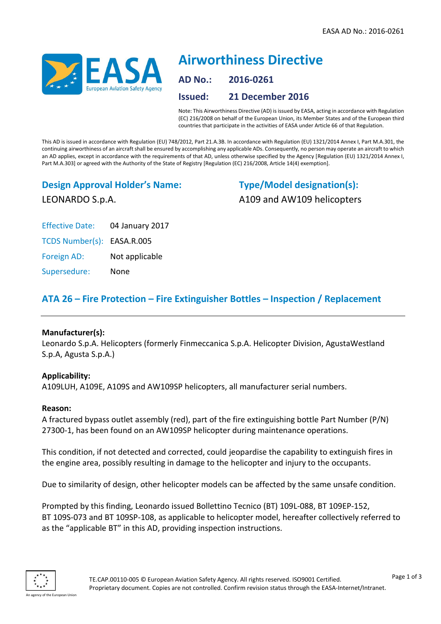

# **Airworthiness Directive AD No.: 2016-0261 Issued: 21 December 2016**

Note: This Airworthiness Directive (AD) is issued by EASA, acting in accordance with Regulation (EC) 216/2008 on behalf of the European Union, its Member States and of the European third countries that participate in the activities of EASA under Article 66 of that Regulation.

This AD is issued in accordance with Regulation (EU) 748/2012, Part 21.A.3B. In accordance with Regulation (EU) 1321/2014 Annex I, Part M.A.301, the continuing airworthiness of an aircraft shall be ensured by accomplishing any applicable ADs. Consequently, no person may operate an aircraft to which an AD applies, except in accordance with the requirements of that AD, unless otherwise specified by the Agency [Regulation (EU) 1321/2014 Annex I, Part M.A.303] or agreed with the Authority of the State of Registry [Regulation (EC) 216/2008, Article 14(4) exemption].

# **Design Approval Holder's Name:** LEONARDO S.p.A.

**Type/Model designation(s):** A109 and AW109 helicopters

Effective Date: 04 January 2017

TCDS Number(s): EASA.R.005

Foreign AD: Not applicable

Supersedure: None

# **ATA 26 – Fire Protection – Fire Extinguisher Bottles – Inspection / Replacement**

# **Manufacturer(s):**

Leonardo S.p.A. Helicopters (formerly Finmeccanica S.p.A. Helicopter Division, AgustaWestland S.p.A, Agusta S.p.A.)

# **Applicability:**

A109LUH, A109E, A109S and AW109SP helicopters, all manufacturer serial numbers.

# **Reason:**

A fractured bypass outlet assembly (red), part of the fire extinguishing bottle Part Number (P/N) 27300-1, has been found on an AW109SP helicopter during maintenance operations.

This condition, if not detected and corrected, could jeopardise the capability to extinguish fires in the engine area, possibly resulting in damage to the helicopter and injury to the occupants.

Due to similarity of design, other helicopter models can be affected by the same unsafe condition.

Prompted by this finding, Leonardo issued Bollettino Tecnico (BT) 109L-088, BT 109EP-152, BT 109S-073 and BT 109SP-108, as applicable to helicopter model, hereafter collectively referred to as the "applicable BT" in this AD, providing inspection instructions.

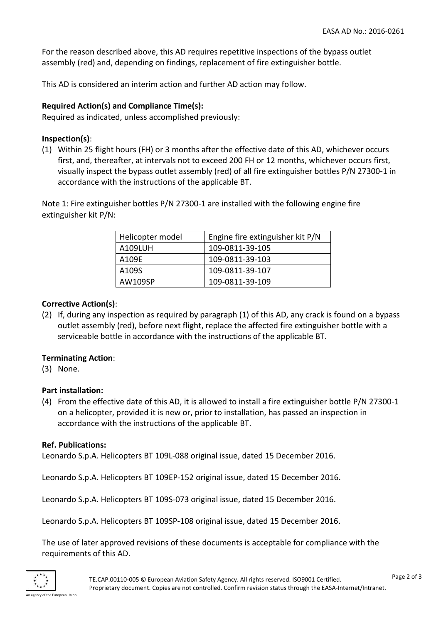For the reason described above, this AD requires repetitive inspections of the bypass outlet assembly (red) and, depending on findings, replacement of fire extinguisher bottle.

This AD is considered an interim action and further AD action may follow.

## **Required Action(s) and Compliance Time(s):**

Required as indicated, unless accomplished previously:

#### **Inspection(s)**:

(1) Within 25 flight hours (FH) or 3 months after the effective date of this AD, whichever occurs first, and, thereafter, at intervals not to exceed 200 FH or 12 months, whichever occurs first, visually inspect the bypass outlet assembly (red) of all fire extinguisher bottles P/N 27300-1 in accordance with the instructions of the applicable BT.

Note 1: Fire extinguisher bottles P/N 27300-1 are installed with the following engine fire extinguisher kit P/N:

| Helicopter model | Engine fire extinguisher kit P/N |
|------------------|----------------------------------|
| A109LUH          | 109-0811-39-105                  |
| A109E            | 109-0811-39-103                  |
| A109S            | 109-0811-39-107                  |
| AW109SP          | 109-0811-39-109                  |

#### **Corrective Action(s)**:

(2) If, during any inspection as required by paragraph (1) of this AD, any crack is found on a bypass outlet assembly (red), before next flight, replace the affected fire extinguisher bottle with a serviceable bottle in accordance with the instructions of the applicable BT.

#### **Terminating Action**:

(3) None.

#### **Part installation:**

(4) From the effective date of this AD, it is allowed to install a fire extinguisher bottle P/N 27300-1 on a helicopter, provided it is new or, prior to installation, has passed an inspection in accordance with the instructions of the applicable BT.

#### **Ref. Publications:**

Leonardo S.p.A. Helicopters BT 109L-088 original issue, dated 15 December 2016.

Leonardo S.p.A. Helicopters BT 109EP-152 original issue, dated 15 December 2016.

Leonardo S.p.A. Helicopters BT 109S-073 original issue, dated 15 December 2016.

Leonardo S.p.A. Helicopters BT 109SP-108 original issue, dated 15 December 2016.

The use of later approved revisions of these documents is acceptable for compliance with the requirements of this AD.